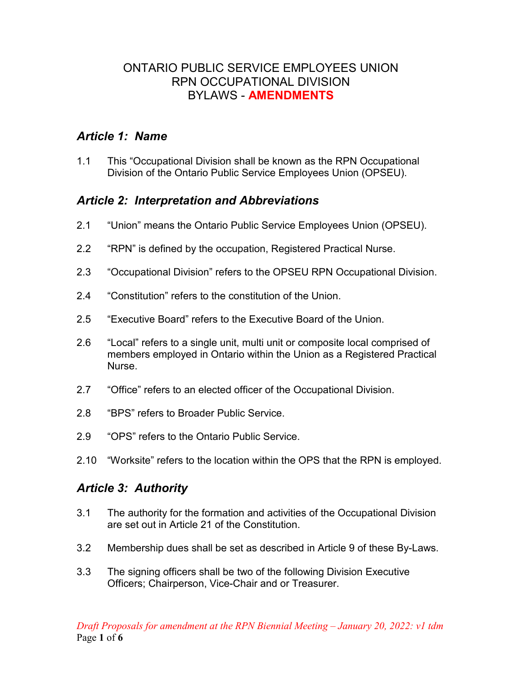### ONTARIO PUBLIC SERVICE EMPLOYEES UNION RPN OCCUPATIONAL DIVISION BYLAWS - **AMENDMENTS**

## *Article 1: Name*

1.1 This "Occupational Division shall be known as the RPN Occupational Division of the Ontario Public Service Employees Union (OPSEU).

# *Article 2: Interpretation and Abbreviations*

- 2.1 "Union" means the Ontario Public Service Employees Union (OPSEU).
- 2.2 "RPN" is defined by the occupation, Registered Practical Nurse.
- 2.3 "Occupational Division" refers to the OPSEU RPN Occupational Division.
- 2.4 "Constitution" refers to the constitution of the Union.
- 2.5 "Executive Board" refers to the Executive Board of the Union.
- 2.6 "Local" refers to a single unit, multi unit or composite local comprised of members employed in Ontario within the Union as a Registered Practical **Nurse**
- 2.7 "Office" refers to an elected officer of the Occupational Division.
- 2.8 "BPS" refers to Broader Public Service.
- 2.9 "OPS" refers to the Ontario Public Service.
- 2.10 "Worksite" refers to the location within the OPS that the RPN is employed.

## *Article 3: Authority*

- 3.1 The authority for the formation and activities of the Occupational Division are set out in Article 21 of the Constitution.
- 3.2 Membership dues shall be set as described in Article 9 of these By-Laws.
- 3.3 The signing officers shall be two of the following Division Executive Officers; Chairperson, Vice-Chair and or Treasurer.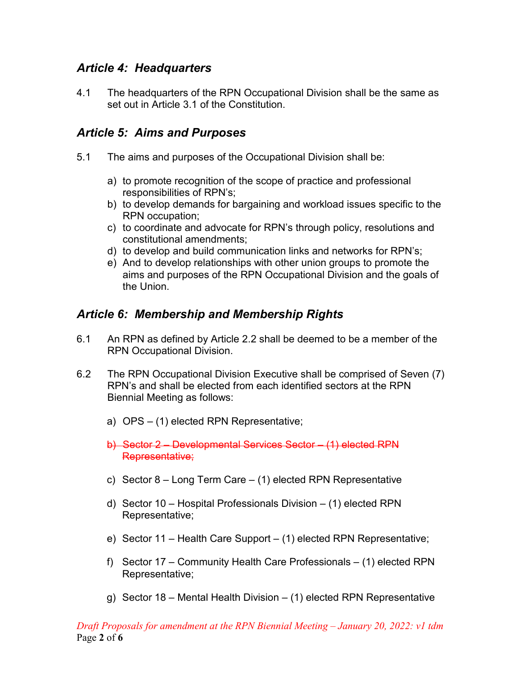## *Article 4: Headquarters*

4.1 The headquarters of the RPN Occupational Division shall be the same as set out in Article 3.1 of the Constitution.

## *Article 5: Aims and Purposes*

- 5.1 The aims and purposes of the Occupational Division shall be:
	- a) to promote recognition of the scope of practice and professional responsibilities of RPN's;
	- b) to develop demands for bargaining and workload issues specific to the RPN occupation;
	- c) to coordinate and advocate for RPN's through policy, resolutions and constitutional amendments;
	- d) to develop and build communication links and networks for RPN's;
	- e) And to develop relationships with other union groups to promote the aims and purposes of the RPN Occupational Division and the goals of the Union.

## *Article 6: Membership and Membership Rights*

- 6.1 An RPN as defined by Article 2.2 shall be deemed to be a member of the RPN Occupational Division.
- 6.2 The RPN Occupational Division Executive shall be comprised of Seven (7) RPN's and shall be elected from each identified sectors at the RPN Biennial Meeting as follows:
	- a) OPS (1) elected RPN Representative;
	- b) Sector 2 Developmental Services Sector (1) elected RPN Representative;
	- c) Sector 8 Long Term Care (1) elected RPN Representative
	- d) Sector 10 Hospital Professionals Division (1) elected RPN Representative;
	- e) Sector 11 Health Care Support (1) elected RPN Representative;
	- f) Sector 17 Community Health Care Professionals (1) elected RPN Representative;
	- g) Sector 18 Mental Health Division (1) elected RPN Representative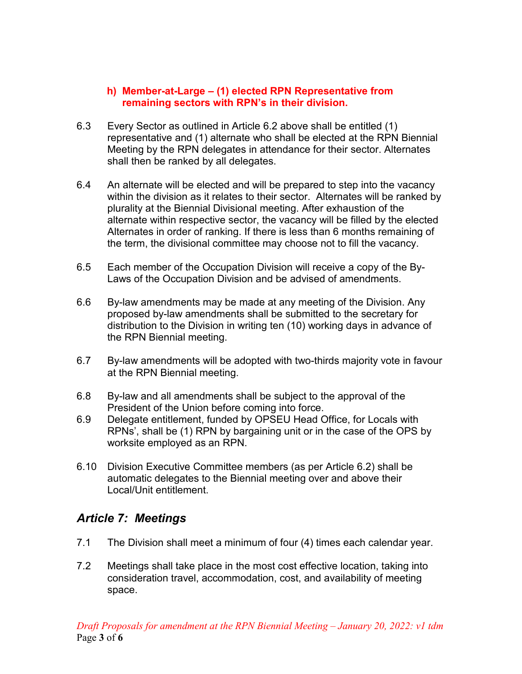#### **h) Member-at-Large – (1) elected RPN Representative from remaining sectors with RPN's in their division.**

- 6.3 Every Sector as outlined in Article 6.2 above shall be entitled (1) representative and (1) alternate who shall be elected at the RPN Biennial Meeting by the RPN delegates in attendance for their sector. Alternates shall then be ranked by all delegates.
- 6.4 An alternate will be elected and will be prepared to step into the vacancy within the division as it relates to their sector. Alternates will be ranked by plurality at the Biennial Divisional meeting. After exhaustion of the alternate within respective sector, the vacancy will be filled by the elected Alternates in order of ranking. If there is less than 6 months remaining of the term, the divisional committee may choose not to fill the vacancy.
- 6.5 Each member of the Occupation Division will receive a copy of the By-Laws of the Occupation Division and be advised of amendments.
- 6.6 By-law amendments may be made at any meeting of the Division. Any proposed by-law amendments shall be submitted to the secretary for distribution to the Division in writing ten (10) working days in advance of the RPN Biennial meeting.
- 6.7 By-law amendments will be adopted with two-thirds majority vote in favour at the RPN Biennial meeting.
- 6.8 By-law and all amendments shall be subject to the approval of the President of the Union before coming into force.
- 6.9 Delegate entitlement, funded by OPSEU Head Office, for Locals with RPNs', shall be (1) RPN by bargaining unit or in the case of the OPS by worksite employed as an RPN.
- 6.10 Division Executive Committee members (as per Article 6.2) shall be automatic delegates to the Biennial meeting over and above their Local/Unit entitlement.

## *Article 7: Meetings*

- 7.1 The Division shall meet a minimum of four (4) times each calendar year.
- 7.2 Meetings shall take place in the most cost effective location, taking into consideration travel, accommodation, cost, and availability of meeting space.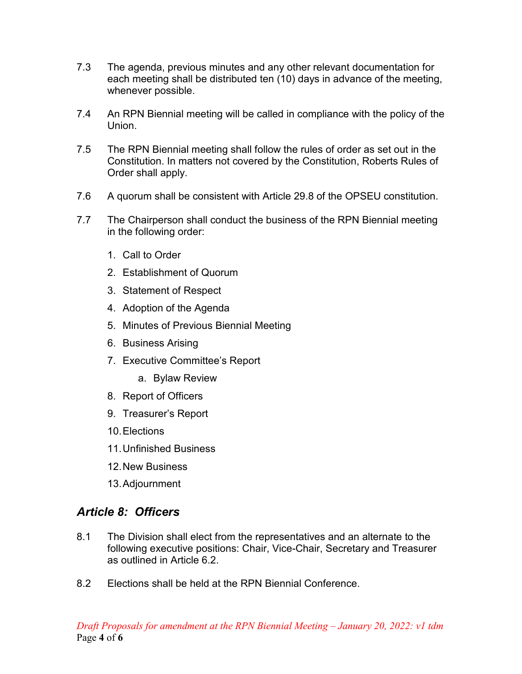- 7.3 The agenda, previous minutes and any other relevant documentation for each meeting shall be distributed ten (10) days in advance of the meeting, whenever possible.
- 7.4 An RPN Biennial meeting will be called in compliance with the policy of the Union.
- 7.5 The RPN Biennial meeting shall follow the rules of order as set out in the Constitution. In matters not covered by the Constitution, Roberts Rules of Order shall apply.
- 7.6 A quorum shall be consistent with Article 29.8 of the OPSEU constitution.
- 7.7 The Chairperson shall conduct the business of the RPN Biennial meeting in the following order:
	- 1. Call to Order
	- 2. Establishment of Quorum
	- 3. Statement of Respect
	- 4. Adoption of the Agenda
	- 5. Minutes of Previous Biennial Meeting
	- 6. Business Arising
	- 7. Executive Committee's Report
		- a. Bylaw Review
	- 8. Report of Officers
	- 9. Treasurer's Report
	- 10.Elections
	- 11.Unfinished Business
	- 12.New Business
	- 13.Adjournment

# *Article 8: Officers*

- 8.1 The Division shall elect from the representatives and an alternate to the following executive positions: Chair, Vice-Chair, Secretary and Treasurer as outlined in Article 6.2.
- 8.2 Elections shall be held at the RPN Biennial Conference.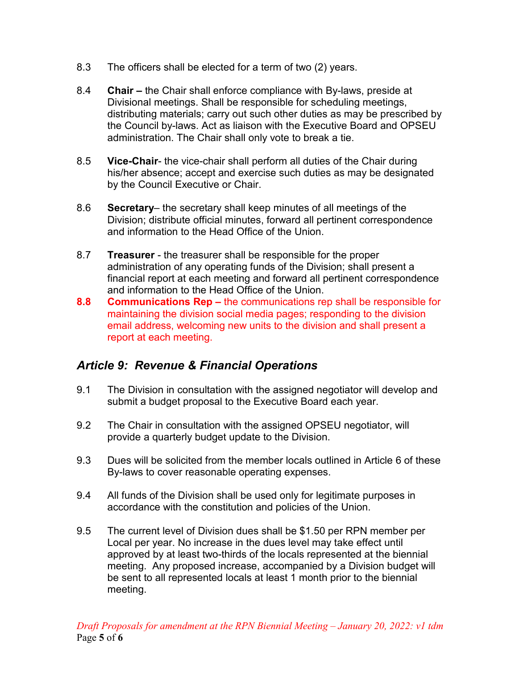- 8.3 The officers shall be elected for a term of two (2) years.
- 8.4 **Chair –** the Chair shall enforce compliance with By-laws, preside at Divisional meetings. Shall be responsible for scheduling meetings, distributing materials; carry out such other duties as may be prescribed by the Council by-laws. Act as liaison with the Executive Board and OPSEU administration. The Chair shall only vote to break a tie.
- 8.5 **Vice-Chair** the vice-chair shall perform all duties of the Chair during his/her absence; accept and exercise such duties as may be designated by the Council Executive or Chair.
- 8.6 **Secretary** the secretary shall keep minutes of all meetings of the Division; distribute official minutes, forward all pertinent correspondence and information to the Head Office of the Union.
- 8.7 **Treasurer**  the treasurer shall be responsible for the proper administration of any operating funds of the Division; shall present a financial report at each meeting and forward all pertinent correspondence and information to the Head Office of the Union.
- **8.8 Communications Rep –** the communications rep shall be responsible for maintaining the division social media pages; responding to the division email address, welcoming new units to the division and shall present a report at each meeting.

## *Article 9: Revenue & Financial Operations*

- 9.1 The Division in consultation with the assigned negotiator will develop and submit a budget proposal to the Executive Board each year.
- 9.2 The Chair in consultation with the assigned OPSEU negotiator, will provide a quarterly budget update to the Division.
- 9.3 Dues will be solicited from the member locals outlined in Article 6 of these By-laws to cover reasonable operating expenses.
- 9.4 All funds of the Division shall be used only for legitimate purposes in accordance with the constitution and policies of the Union.
- 9.5 The current level of Division dues shall be \$1.50 per RPN member per Local per year. No increase in the dues level may take effect until approved by at least two-thirds of the locals represented at the biennial meeting. Any proposed increase, accompanied by a Division budget will be sent to all represented locals at least 1 month prior to the biennial meeting.